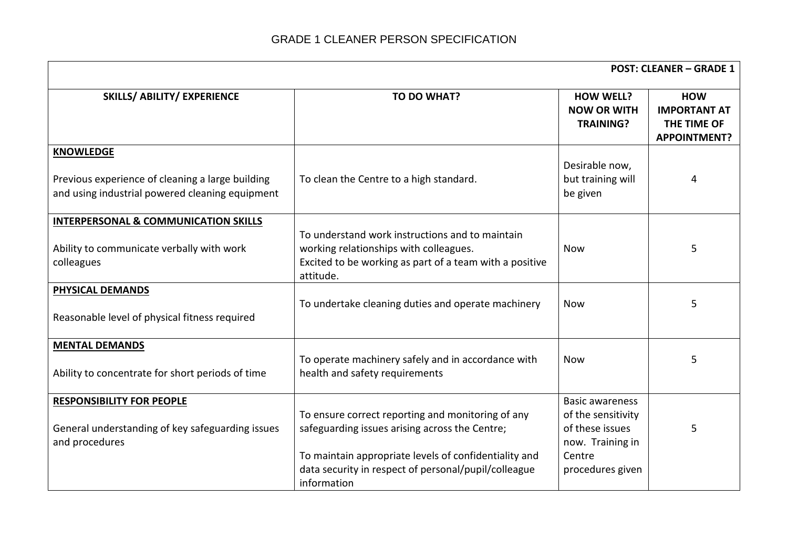|                                                                                                                         |                                                                                                                                                                                                                                     | <b>POST: CLEANER - GRADE 1</b>                                                                                    |                                                                         |  |
|-------------------------------------------------------------------------------------------------------------------------|-------------------------------------------------------------------------------------------------------------------------------------------------------------------------------------------------------------------------------------|-------------------------------------------------------------------------------------------------------------------|-------------------------------------------------------------------------|--|
| <b>SKILLS/ ABILITY/ EXPERIENCE</b>                                                                                      | TO DO WHAT?                                                                                                                                                                                                                         | <b>HOW WELL?</b><br><b>NOW OR WITH</b><br><b>TRAINING?</b>                                                        | <b>HOW</b><br><b>IMPORTANT AT</b><br>THE TIME OF<br><b>APPOINTMENT?</b> |  |
| <b>KNOWLEDGE</b><br>Previous experience of cleaning a large building<br>and using industrial powered cleaning equipment | To clean the Centre to a high standard.                                                                                                                                                                                             | Desirable now,<br>but training will<br>be given                                                                   | 4                                                                       |  |
| <b>INTERPERSONAL &amp; COMMUNICATION SKILLS</b><br>Ability to communicate verbally with work<br>colleagues              | To understand work instructions and to maintain<br>working relationships with colleagues.<br>Excited to be working as part of a team with a positive<br>attitude.                                                                   | <b>Now</b>                                                                                                        | 5                                                                       |  |
| <b>PHYSICAL DEMANDS</b><br>Reasonable level of physical fitness required                                                | To undertake cleaning duties and operate machinery                                                                                                                                                                                  | <b>Now</b>                                                                                                        | 5                                                                       |  |
| <b>MENTAL DEMANDS</b><br>Ability to concentrate for short periods of time                                               | To operate machinery safely and in accordance with<br>health and safety requirements                                                                                                                                                | <b>Now</b>                                                                                                        | 5                                                                       |  |
| <b>RESPONSIBILITY FOR PEOPLE</b><br>General understanding of key safeguarding issues<br>and procedures                  | To ensure correct reporting and monitoring of any<br>safeguarding issues arising across the Centre;<br>To maintain appropriate levels of confidentiality and<br>data security in respect of personal/pupil/colleague<br>information | <b>Basic awareness</b><br>of the sensitivity<br>of these issues<br>now. Training in<br>Centre<br>procedures given | 5                                                                       |  |